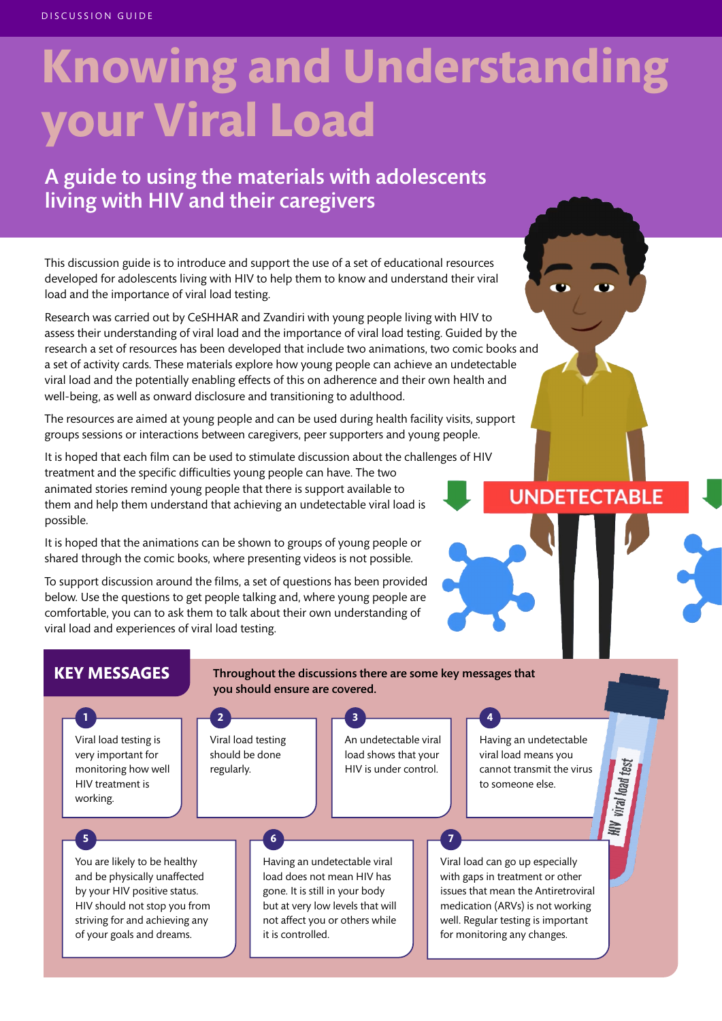# **Knowing and Understanding your Viral Load**

## A guide to using the materials with adolescents living with HIV and their caregivers

This discussion guide is to introduce and support the use of a set of educational resources developed for adolescents living with HIV to help them to know and understand their viral load and the importance of viral load testing.

Research was carried out by CeSHHAR and Zvandiri with young people living with HIV to assess their understanding of viral load and the importance of viral load testing. Guided by the research a set of resources has been developed that include two animations, two comic books and a set of activity cards. These materials explore how young people can achieve an undetectable viral load and the potentially enabling effects of this on adherence and their own health and well-being, as well as onward disclosure and transitioning to adulthood.

The resources are aimed at young people and can be used during health facility visits, support groups sessions or interactions between caregivers, peer supporters and young people.

It is hoped that each film can be used to stimulate discussion about the challenges of HIV treatment and the specific difficulties young people can have. The two animated stories remind young people that there is support available to them and help them understand that achieving an undetectable viral load is possible.

It is hoped that the animations can be shown to groups of young people or shared through the comic books, where presenting videos is not possible.

To support discussion around the films, a set of questions has been provided below. Use the questions to get people talking and, where young people are comfortable, you can to ask them to talk about their own understanding of viral load and experiences of viral load testing.

## **UNDETECTABLE**

#### **KEY MESSAGES** Throughout the discussions there are some key messages that you should ensure are covered. **1 2 3 4** Viral load testing An undetectable viral Viral load testing is Having an undetectable very important for should be done load shows that your viral load means you V viral load test monitoring how well regularly. HIV is under control. cannot transmit the virus HIV treatment is to someone else. working. HІИ **5 76** You are likely to be healthy Having an undetectable viral Viral load can go up especially and be physically unaffected load does not mean HIV has with gaps in treatment or other by your HIV positive status. gone. It is still in your body issues that mean the Antiretroviral HIV should not stop you from but at very low levels that will medication (ARVs) is not working striving for and achieving any not affect you or others while well. Regular testing is important of your goals and dreams. it is controlled. for monitoring any changes.